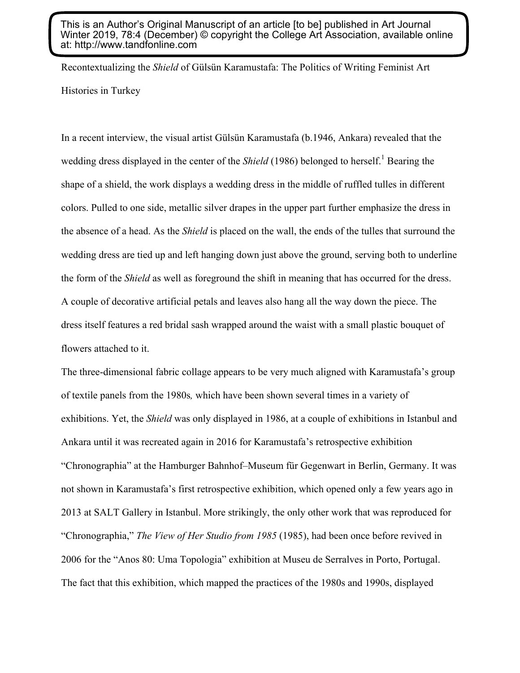This is an Author's Original Manuscript of an article [to be] published in Art Journal Winter 2019, 78:4 (December) © copyright the College Art Association, available online at: http://www.tandfonline.com

Recontextualizing the *Shield* of Gülsün Karamustafa: The Politics of Writing Feminist Art Histories in Turkey

In a recent interview, the visual artist Gülsün Karamustafa (b.1946, Ankara) revealed that the wedding dress displayed in the center of the *Shield* (1986) belonged to herself.<sup>1</sup> Bearing the shape of a shield, the work displays a wedding dress in the middle of ruffled tulles in different colors. Pulled to one side, metallic silver drapes in the upper part further emphasize the dress in the absence of a head. As the *Shield* is placed on the wall, the ends of the tulles that surround the wedding dress are tied up and left hanging down just above the ground, serving both to underline the form of the *Shield* as well as foreground the shift in meaning that has occurred for the dress. A couple of decorative artificial petals and leaves also hang all the way down the piece. The dress itself features a red bridal sash wrapped around the waist with a small plastic bouquet of flowers attached to it.

The three-dimensional fabric collage appears to be very much aligned with Karamustafa's group of textile panels from the 1980s*,* which have been shown several times in a variety of exhibitions. Yet, the *Shield* was only displayed in 1986, at a couple of exhibitions in Istanbul and Ankara until it was recreated again in 2016 for Karamustafa's retrospective exhibition "Chronographia" at the Hamburger Bahnhof–Museum für Gegenwart in Berlin, Germany. It was not shown in Karamustafa's first retrospective exhibition, which opened only a few years ago in 2013 at SALT Gallery in Istanbul. More strikingly, the only other work that was reproduced for "Chronographia," *The View of Her Studio from 1985* (1985), had been once before revived in 2006 for the "Anos 80: Uma Topologia" exhibition at Museu de Serralves in Porto, Portugal. The fact that this exhibition, which mapped the practices of the 1980s and 1990s, displayed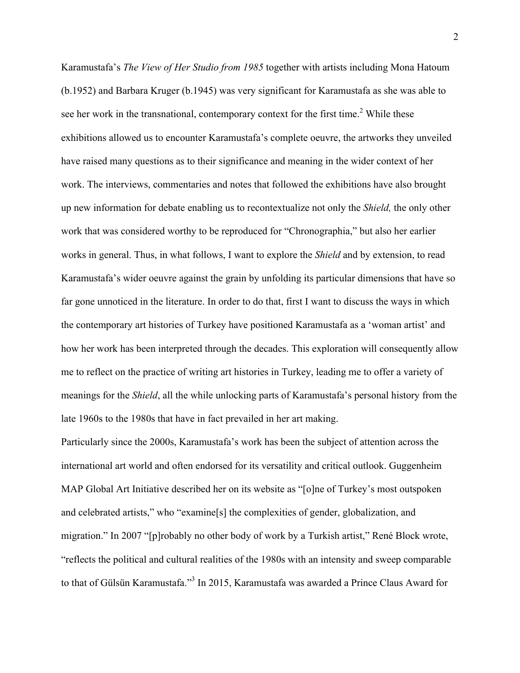Karamustafa's *The View of Her Studio from 1985* together with artists including Mona Hatoum (b.1952) and Barbara Kruger (b.1945) was very significant for Karamustafa as she was able to see her work in the transnational, contemporary context for the first time.<sup>2</sup> While these exhibitions allowed us to encounter Karamustafa's complete oeuvre, the artworks they unveiled have raised many questions as to their significance and meaning in the wider context of her work. The interviews, commentaries and notes that followed the exhibitions have also brought up new information for debate enabling us to recontextualize not only the *Shield,* the only other work that was considered worthy to be reproduced for "Chronographia," but also her earlier works in general. Thus, in what follows, I want to explore the *Shield* and by extension, to read Karamustafa's wider oeuvre against the grain by unfolding its particular dimensions that have so far gone unnoticed in the literature. In order to do that, first I want to discuss the ways in which the contemporary art histories of Turkey have positioned Karamustafa as a 'woman artist' and how her work has been interpreted through the decades. This exploration will consequently allow me to reflect on the practice of writing art histories in Turkey, leading me to offer a variety of meanings for the *Shield*, all the while unlocking parts of Karamustafa's personal history from the late 1960s to the 1980s that have in fact prevailed in her art making.

Particularly since the 2000s, Karamustafa's work has been the subject of attention across the international art world and often endorsed for its versatility and critical outlook. Guggenheim MAP Global Art Initiative described her on its website as "[o]ne of Turkey's most outspoken and celebrated artists," who "examine[s] the complexities of gender, globalization, and migration." In 2007 "[p]robably no other body of work by a Turkish artist," René Block wrote, "reflects the political and cultural realities of the 1980s with an intensity and sweep comparable to that of Gülsün Karamustafa."3 In 2015, Karamustafa was awarded a Prince Claus Award for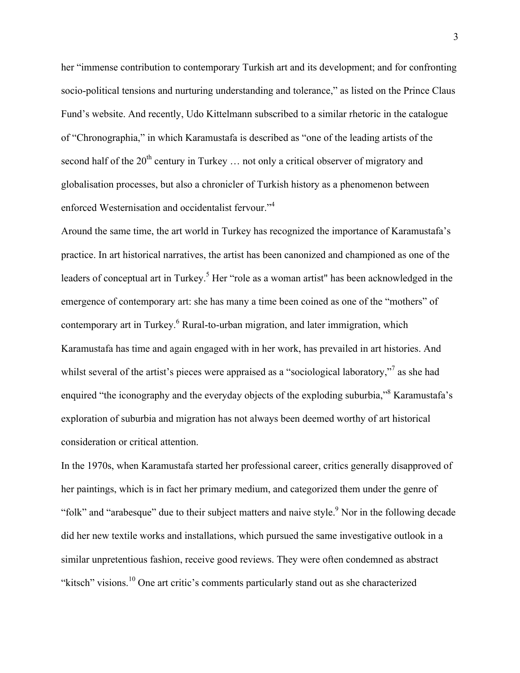her "immense contribution to contemporary Turkish art and its development; and for confronting socio-political tensions and nurturing understanding and tolerance," as listed on the Prince Claus Fund's website. And recently, Udo Kittelmann subscribed to a similar rhetoric in the catalogue of "Chronographia," in which Karamustafa is described as "one of the leading artists of the second half of the  $20<sup>th</sup>$  century in Turkey  $\ldots$  not only a critical observer of migratory and globalisation processes, but also a chronicler of Turkish history as a phenomenon between enforced Westernisation and occidentalist fervour."<sup>4</sup>

Around the same time, the art world in Turkey has recognized the importance of Karamustafa's practice. In art historical narratives, the artist has been canonized and championed as one of the leaders of conceptual art in Turkey.<sup>5</sup> Her "role as a woman artist" has been acknowledged in the emergence of contemporary art: she has many a time been coined as one of the "mothers" of contemporary art in Turkey.<sup>6</sup> Rural-to-urban migration, and later immigration, which Karamustafa has time and again engaged with in her work, has prevailed in art histories. And whilst several of the artist's pieces were appraised as a "sociological laboratory,"<sup>7</sup> as she had enquired "the iconography and the everyday objects of the exploding suburbia,"<sup>8</sup> Karamustafa's exploration of suburbia and migration has not always been deemed worthy of art historical consideration or critical attention.

In the 1970s, when Karamustafa started her professional career, critics generally disapproved of her paintings, which is in fact her primary medium, and categorized them under the genre of "folk" and "arabesque" due to their subject matters and naive style.<sup>9</sup> Nor in the following decade did her new textile works and installations, which pursued the same investigative outlook in a similar unpretentious fashion, receive good reviews. They were often condemned as abstract "kitsch" visions.<sup>10</sup> One art critic's comments particularly stand out as she characterized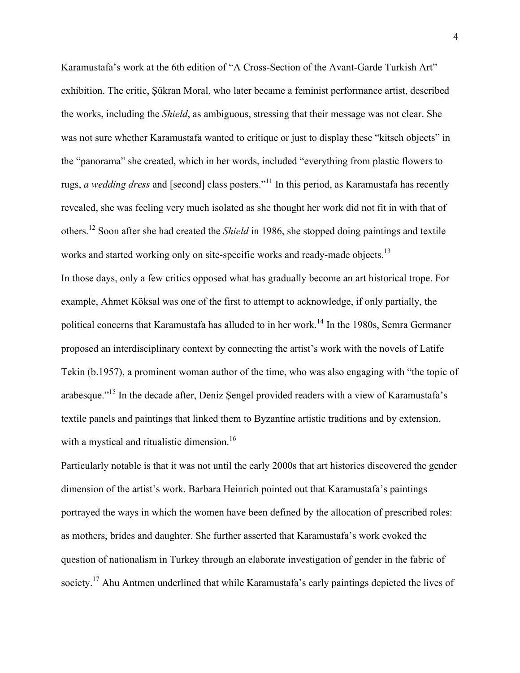Karamustafa's work at the 6th edition of "A Cross-Section of the Avant-Garde Turkish Art" exhibition. The critic, Şükran Moral, who later became a feminist performance artist, described the works, including the *Shield*, as ambiguous, stressing that their message was not clear. She was not sure whether Karamustafa wanted to critique or just to display these "kitsch objects" in the "panorama" she created, which in her words, included "everything from plastic flowers to rugs, *a wedding dress* and [second] class posters."<sup>11</sup> In this period, as Karamustafa has recently revealed, she was feeling very much isolated as she thought her work did not fit in with that of others.<sup>12</sup> Soon after she had created the *Shield* in 1986, she stopped doing paintings and textile works and started working only on site-specific works and ready-made objects.<sup>13</sup>

In those days, only a few critics opposed what has gradually become an art historical trope. For example, Ahmet Köksal was one of the first to attempt to acknowledge, if only partially, the political concerns that Karamustafa has alluded to in her work.<sup>14</sup> In the 1980s, Semra Germaner proposed an interdisciplinary context by connecting the artist's work with the novels of Latife Tekin (b.1957), a prominent woman author of the time, who was also engaging with "the topic of arabesque."<sup>15</sup> In the decade after, Deniz Sengel provided readers with a view of Karamustafa's textile panels and paintings that linked them to Byzantine artistic traditions and by extension, with a mystical and ritualistic dimension.<sup>16</sup>

Particularly notable is that it was not until the early 2000s that art histories discovered the gender dimension of the artist's work. Barbara Heinrich pointed out that Karamustafa's paintings portrayed the ways in which the women have been defined by the allocation of prescribed roles: as mothers, brides and daughter. She further asserted that Karamustafa's work evoked the question of nationalism in Turkey through an elaborate investigation of gender in the fabric of society.<sup>17</sup> Ahu Antmen underlined that while Karamustafa's early paintings depicted the lives of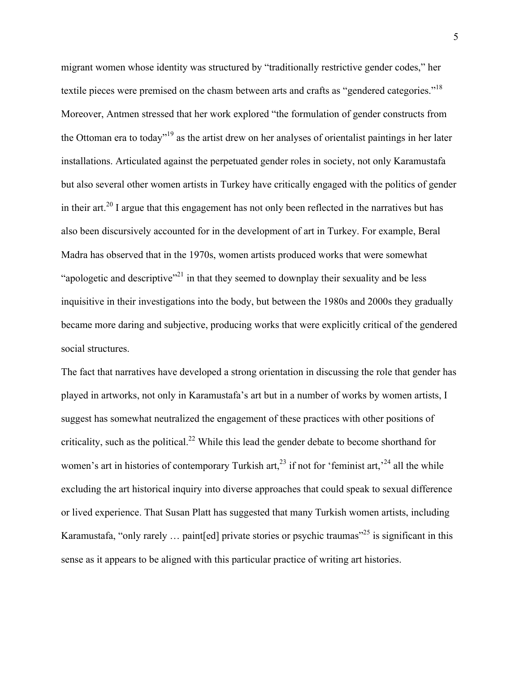migrant women whose identity was structured by "traditionally restrictive gender codes," her textile pieces were premised on the chasm between arts and crafts as "gendered categories."<sup>18</sup> Moreover, Antmen stressed that her work explored "the formulation of gender constructs from the Ottoman era to today"19 as the artist drew on her analyses of orientalist paintings in her later installations. Articulated against the perpetuated gender roles in society, not only Karamustafa but also several other women artists in Turkey have critically engaged with the politics of gender in their art.<sup>20</sup> I argue that this engagement has not only been reflected in the narratives but has also been discursively accounted for in the development of art in Turkey. For example, Beral Madra has observed that in the 1970s, women artists produced works that were somewhat "apologetic and descriptive"<sup>21</sup> in that they seemed to downplay their sexuality and be less inquisitive in their investigations into the body, but between the 1980s and 2000s they gradually became more daring and subjective, producing works that were explicitly critical of the gendered social structures.

The fact that narratives have developed a strong orientation in discussing the role that gender has played in artworks, not only in Karamustafa's art but in a number of works by women artists, I suggest has somewhat neutralized the engagement of these practices with other positions of criticality, such as the political.<sup>22</sup> While this lead the gender debate to become shorthand for women's art in histories of contemporary Turkish art,<sup>23</sup> if not for 'feminist art,<sup>24</sup> all the while excluding the art historical inquiry into diverse approaches that could speak to sexual difference or lived experience. That Susan Platt has suggested that many Turkish women artists, including Karamustafa, "only rarely  $\ldots$  paint [ed] private stories or psychic traumas"<sup>25</sup> is significant in this sense as it appears to be aligned with this particular practice of writing art histories.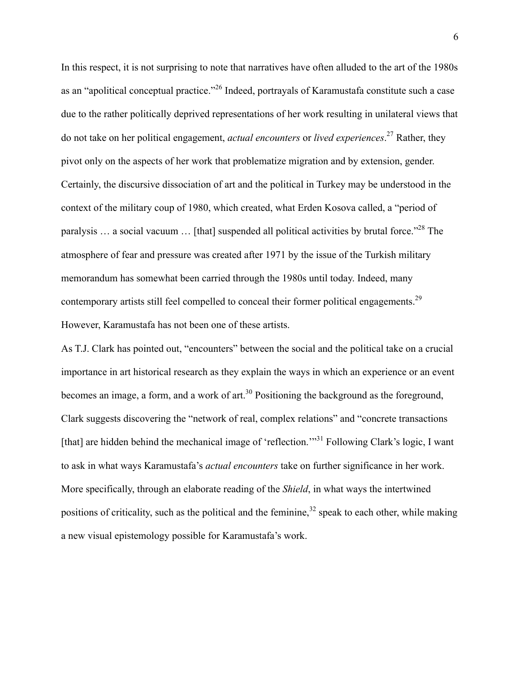In this respect, it is not surprising to note that narratives have often alluded to the art of the 1980s as an "apolitical conceptual practice."<sup>26</sup> Indeed, portrayals of Karamustafa constitute such a case due to the rather politically deprived representations of her work resulting in unilateral views that do not take on her political engagement, *actual encounters* or *lived experiences*. <sup>27</sup> Rather, they pivot only on the aspects of her work that problematize migration and by extension, gender. Certainly, the discursive dissociation of art and the political in Turkey may be understood in the context of the military coup of 1980, which created, what Erden Kosova called, a "period of paralysis ... a social vacuum ... [that] suspended all political activities by brutal force.<sup>228</sup> The atmosphere of fear and pressure was created after 1971 by the issue of the Turkish military memorandum has somewhat been carried through the 1980s until today. Indeed, many contemporary artists still feel compelled to conceal their former political engagements.<sup>29</sup> However, Karamustafa has not been one of these artists.

As T.J. Clark has pointed out, "encounters" between the social and the political take on a crucial importance in art historical research as they explain the ways in which an experience or an event becomes an image, a form, and a work of art.<sup>30</sup> Positioning the background as the foreground, Clark suggests discovering the "network of real, complex relations" and "concrete transactions [that] are hidden behind the mechanical image of 'reflection."<sup>31</sup> Following Clark's logic, I want to ask in what ways Karamustafa's *actual encounters* take on further significance in her work. More specifically, through an elaborate reading of the *Shield*, in what ways the intertwined positions of criticality, such as the political and the feminine,<sup>32</sup> speak to each other, while making a new visual epistemology possible for Karamustafa's work.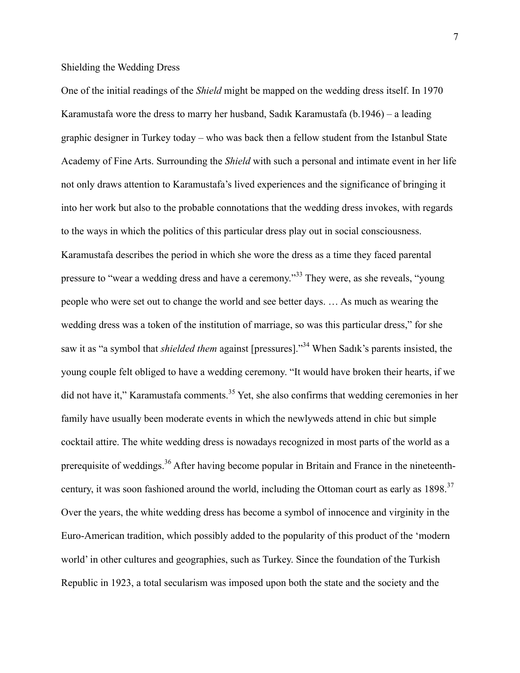## Shielding the Wedding Dress

One of the initial readings of the *Shield* might be mapped on the wedding dress itself. In 1970 Karamustafa wore the dress to marry her husband, Sadık Karamustafa (b.1946) – a leading graphic designer in Turkey today – who was back then a fellow student from the Istanbul State Academy of Fine Arts. Surrounding the *Shield* with such a personal and intimate event in her life not only draws attention to Karamustafa's lived experiences and the significance of bringing it into her work but also to the probable connotations that the wedding dress invokes, with regards to the ways in which the politics of this particular dress play out in social consciousness. Karamustafa describes the period in which she wore the dress as a time they faced parental pressure to "wear a wedding dress and have a ceremony."<sup>33</sup> They were, as she reveals, "young people who were set out to change the world and see better days. … As much as wearing the wedding dress was a token of the institution of marriage, so was this particular dress," for she saw it as "a symbol that *shielded them* against [pressures]." <sup>34</sup> When Sadık's parents insisted, the young couple felt obliged to have a wedding ceremony. "It would have broken their hearts, if we did not have it," Karamustafa comments.<sup>35</sup> Yet, she also confirms that wedding ceremonies in her family have usually been moderate events in which the newlyweds attend in chic but simple cocktail attire. The white wedding dress is nowadays recognized in most parts of the world as a prerequisite of weddings.<sup>36</sup> After having become popular in Britain and France in the nineteenthcentury, it was soon fashioned around the world, including the Ottoman court as early as 1898.<sup>37</sup> Over the years, the white wedding dress has become a symbol of innocence and virginity in the Euro-American tradition, which possibly added to the popularity of this product of the 'modern world' in other cultures and geographies, such as Turkey. Since the foundation of the Turkish Republic in 1923, a total secularism was imposed upon both the state and the society and the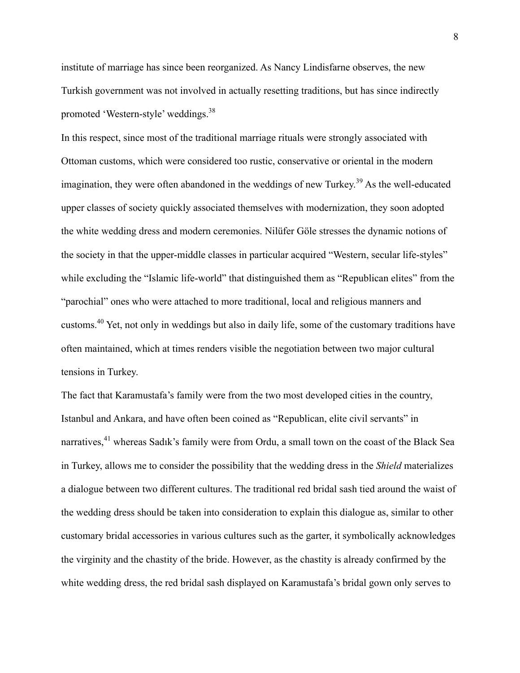institute of marriage has since been reorganized. As Nancy Lindisfarne observes, the new Turkish government was not involved in actually resetting traditions, but has since indirectly promoted 'Western-style' weddings.38

In this respect, since most of the traditional marriage rituals were strongly associated with Ottoman customs, which were considered too rustic, conservative or oriental in the modern imagination, they were often abandoned in the weddings of new Turkey.<sup>39</sup> As the well-educated upper classes of society quickly associated themselves with modernization, they soon adopted the white wedding dress and modern ceremonies. Nilüfer Göle stresses the dynamic notions of the society in that the upper-middle classes in particular acquired "Western, secular life-styles" while excluding the "Islamic life-world" that distinguished them as "Republican elites" from the "parochial" ones who were attached to more traditional, local and religious manners and customs.40 Yet, not only in weddings but also in daily life, some of the customary traditions have often maintained, which at times renders visible the negotiation between two major cultural tensions in Turkey.

The fact that Karamustafa's family were from the two most developed cities in the country, Istanbul and Ankara, and have often been coined as "Republican, elite civil servants" in narratives,<sup>41</sup> whereas Sadık's family were from Ordu, a small town on the coast of the Black Sea in Turkey, allows me to consider the possibility that the wedding dress in the *Shield* materializes a dialogue between two different cultures. The traditional red bridal sash tied around the waist of the wedding dress should be taken into consideration to explain this dialogue as, similar to other customary bridal accessories in various cultures such as the garter, it symbolically acknowledges the virginity and the chastity of the bride. However, as the chastity is already confirmed by the white wedding dress, the red bridal sash displayed on Karamustafa's bridal gown only serves to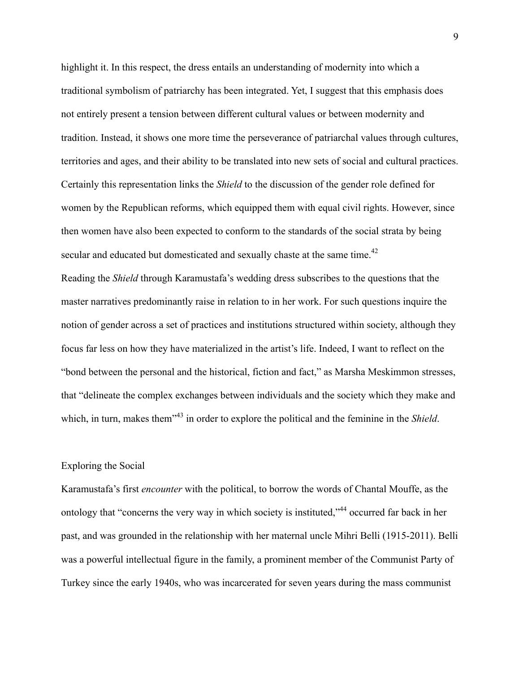highlight it. In this respect, the dress entails an understanding of modernity into which a traditional symbolism of patriarchy has been integrated. Yet, I suggest that this emphasis does not entirely present a tension between different cultural values or between modernity and tradition. Instead, it shows one more time the perseverance of patriarchal values through cultures, territories and ages, and their ability to be translated into new sets of social and cultural practices. Certainly this representation links the *Shield* to the discussion of the gender role defined for women by the Republican reforms, which equipped them with equal civil rights. However, since then women have also been expected to conform to the standards of the social strata by being secular and educated but domesticated and sexually chaste at the same time.<sup>42</sup>

Reading the *Shield* through Karamustafa's wedding dress subscribes to the questions that the master narratives predominantly raise in relation to in her work. For such questions inquire the notion of gender across a set of practices and institutions structured within society, although they focus far less on how they have materialized in the artist's life. Indeed, I want to reflect on the "bond between the personal and the historical, fiction and fact," as Marsha Meskimmon stresses, that "delineate the complex exchanges between individuals and the society which they make and which, in turn, makes them<sup>"43</sup> in order to explore the political and the feminine in the *Shield*.

## Exploring the Social

Karamustafa's first *encounter* with the political, to borrow the words of Chantal Mouffe, as the ontology that "concerns the very way in which society is instituted,"<sup>44</sup> occurred far back in her past, and was grounded in the relationship with her maternal uncle Mihri Belli (1915-2011). Belli was a powerful intellectual figure in the family, a prominent member of the Communist Party of Turkey since the early 1940s, who was incarcerated for seven years during the mass communist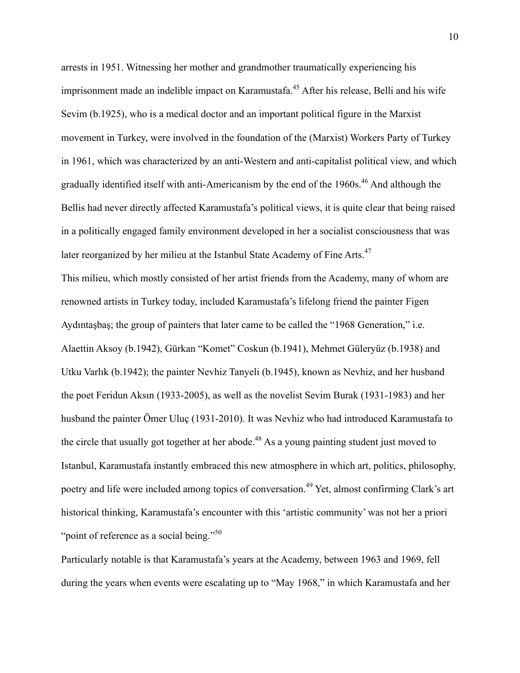arrests in 1951. Witnessing her mother and grandmother traumatically experiencing his imprisonment made an indelible impact on Karamustafa.<sup>45</sup> After his release, Belli and his wife Sevim (b.1925), who is a medical doctor and an important political figure in the Marxist movement in Turkey, were involved in the foundation of the (Marxist) Workers Party of Turkey in 1961, which was characterized by an anti-Western and anti-capitalist political view, and which gradually identified itself with anti-Americanism by the end of the 1960s.<sup>46</sup> And although the Bellis had never directly affected Karamustafa's political views, it is quite clear that being raised in a politically engaged family environment developed in her a socialist consciousness that was later reorganized by her milieu at the Istanbul State Academy of Fine Arts.<sup>47</sup>

This milieu, which mostly consisted of her artist friends from the Academy, many of whom are renowned artists in Turkey today, included Karamustafa's lifelong friend the painter Figen Aydıntaşbaş; the group of painters that later came to be called the "1968 Generation," i.e. Alaettin Aksoy (b.1942), Gürkan "Komet" Coskun (b.1941), Mehmet Güleryüz (b.1938) and Utku Varlık (b.1942); the painter Nevhiz Tanyeli (b.1945), known as Nevhiz, and her husband the poet Feridun Aksın (1933-2005), as well as the novelist Sevim Burak (1931-1983) and her husband the painter Ömer Uluç (1931-2010). It was Nevhiz who had introduced Karamustafa to the circle that usually got together at her abode.<sup>48</sup> As a young painting student just moved to Istanbul, Karamustafa instantly embraced this new atmosphere in which art, politics, philosophy, poetry and life were included among topics of conversation.<sup>49</sup> Yet, almost confirming Clark's art historical thinking, Karamustafa's encounter with this 'artistic community' was not her a priori "point of reference as a social being."<sup>50</sup>

Particularly notable is that Karamustafa's years at the Academy, between 1963 and 1969, fell during the years when events were escalating up to "May 1968," in which Karamustafa and her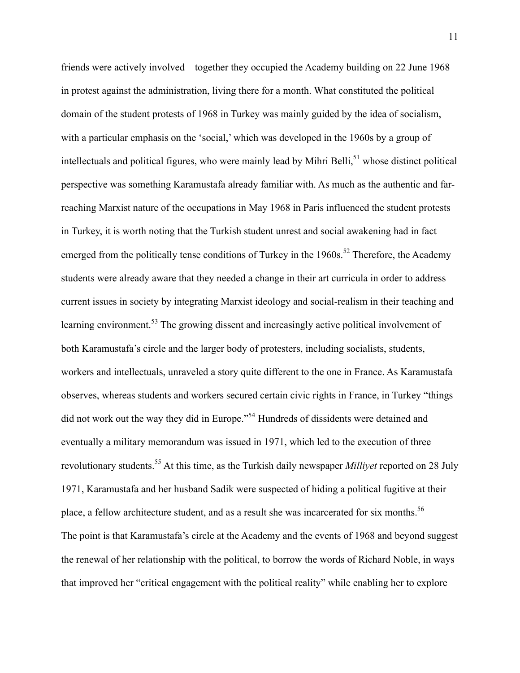friends were actively involved – together they occupied the Academy building on 22 June 1968 in protest against the administration, living there for a month. What constituted the political domain of the student protests of 1968 in Turkey was mainly guided by the idea of socialism, with a particular emphasis on the 'social,' which was developed in the 1960s by a group of intellectuals and political figures, who were mainly lead by Mihri Belli,<sup>51</sup> whose distinct political perspective was something Karamustafa already familiar with. As much as the authentic and farreaching Marxist nature of the occupations in May 1968 in Paris influenced the student protests in Turkey, it is worth noting that the Turkish student unrest and social awakening had in fact emerged from the politically tense conditions of Turkey in the  $1960s$ .<sup>52</sup> Therefore, the Academy students were already aware that they needed a change in their art curricula in order to address current issues in society by integrating Marxist ideology and social-realism in their teaching and learning environment.<sup>53</sup> The growing dissent and increasingly active political involvement of both Karamustafa's circle and the larger body of protesters, including socialists, students, workers and intellectuals, unraveled a story quite different to the one in France. As Karamustafa observes, whereas students and workers secured certain civic rights in France, in Turkey "things did not work out the way they did in Europe."54 Hundreds of dissidents were detained and eventually a military memorandum was issued in 1971, which led to the execution of three revolutionary students.55 At this time, as the Turkish daily newspaper *Milliyet* reported on 28 July 1971, Karamustafa and her husband Sadik were suspected of hiding a political fugitive at their place, a fellow architecture student, and as a result she was incarcerated for six months.<sup>56</sup> The point is that Karamustafa's circle at the Academy and the events of 1968 and beyond suggest the renewal of her relationship with the political, to borrow the words of Richard Noble, in ways that improved her "critical engagement with the political reality" while enabling her to explore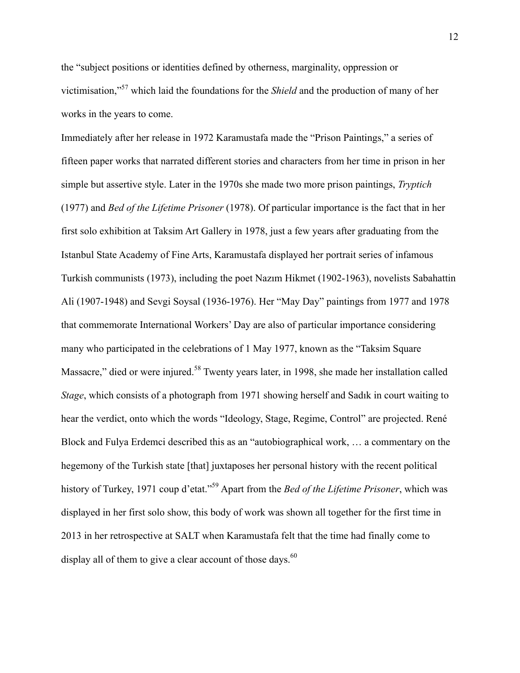the "subject positions or identities defined by otherness, marginality, oppression or victimisation,"<sup>57</sup> which laid the foundations for the *Shield* and the production of many of her works in the years to come.

Immediately after her release in 1972 Karamustafa made the "Prison Paintings," a series of fifteen paper works that narrated different stories and characters from her time in prison in her simple but assertive style. Later in the 1970s she made two more prison paintings, *Tryptich* (1977) and *Bed of the Lifetime Prisoner* (1978). Of particular importance is the fact that in her first solo exhibition at Taksim Art Gallery in 1978, just a few years after graduating from the Istanbul State Academy of Fine Arts, Karamustafa displayed her portrait series of infamous Turkish communists (1973), including the poet Nazım Hikmet (1902-1963), novelists Sabahattin Ali (1907-1948) and Sevgi Soysal (1936-1976). Her "May Day" paintings from 1977 and 1978 that commemorate International Workers' Day are also of particular importance considering many who participated in the celebrations of 1 May 1977, known as the "Taksim Square Massacre," died or were injured.<sup>58</sup> Twenty years later, in 1998, she made her installation called *Stage*, which consists of a photograph from 1971 showing herself and Sadık in court waiting to hear the verdict, onto which the words "Ideology, Stage, Regime, Control" are projected. René Block and Fulya Erdemci described this as an "autobiographical work, … a commentary on the hegemony of the Turkish state [that] juxtaposes her personal history with the recent political history of Turkey, 1971 coup d'etat."<sup>59</sup> Apart from the *Bed of the Lifetime Prisoner*, which was displayed in her first solo show, this body of work was shown all together for the first time in 2013 in her retrospective at SALT when Karamustafa felt that the time had finally come to display all of them to give a clear account of those days.  $60$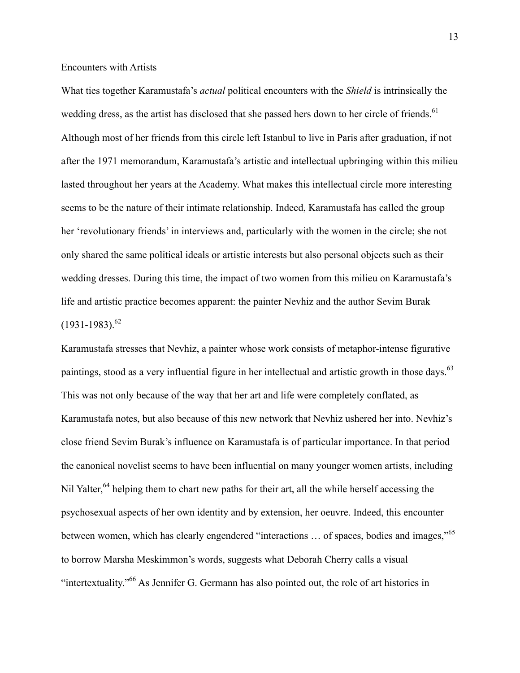Encounters with Artists

What ties together Karamustafa's *actual* political encounters with the *Shield* is intrinsically the wedding dress, as the artist has disclosed that she passed hers down to her circle of friends.<sup>61</sup> Although most of her friends from this circle left Istanbul to live in Paris after graduation, if not after the 1971 memorandum, Karamustafa's artistic and intellectual upbringing within this milieu lasted throughout her years at the Academy. What makes this intellectual circle more interesting seems to be the nature of their intimate relationship. Indeed, Karamustafa has called the group her 'revolutionary friends' in interviews and, particularly with the women in the circle; she not only shared the same political ideals or artistic interests but also personal objects such as their wedding dresses. During this time, the impact of two women from this milieu on Karamustafa's life and artistic practice becomes apparent: the painter Nevhiz and the author Sevim Burak  $(1931-1983)^{62}$ 

Karamustafa stresses that Nevhiz, a painter whose work consists of metaphor-intense figurative paintings, stood as a very influential figure in her intellectual and artistic growth in those days.<sup>63</sup> This was not only because of the way that her art and life were completely conflated, as Karamustafa notes, but also because of this new network that Nevhiz ushered her into. Nevhiz's close friend Sevim Burak's influence on Karamustafa is of particular importance. In that period the canonical novelist seems to have been influential on many younger women artists, including Nil Yalter,<sup>64</sup> helping them to chart new paths for their art, all the while herself accessing the psychosexual aspects of her own identity and by extension, her oeuvre. Indeed, this encounter between women, which has clearly engendered "interactions ... of spaces, bodies and images,"<sup>65</sup> to borrow Marsha Meskimmon's words, suggests what Deborah Cherry calls a visual "intertextuality."66 As Jennifer G. Germann has also pointed out, the role of art histories in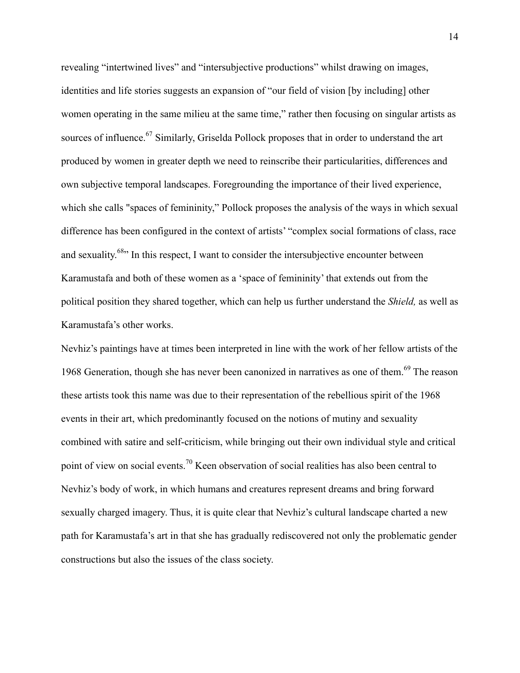revealing "intertwined lives" and "intersubjective productions" whilst drawing on images, identities and life stories suggests an expansion of "our field of vision [by including] other women operating in the same milieu at the same time," rather then focusing on singular artists as sources of influence.<sup>67</sup> Similarly, Griselda Pollock proposes that in order to understand the art produced by women in greater depth we need to reinscribe their particularities, differences and own subjective temporal landscapes. Foregrounding the importance of their lived experience, which she calls "spaces of femininity," Pollock proposes the analysis of the ways in which sexual difference has been configured in the context of artists' "complex social formations of class, race and sexuality.<sup>68</sup><sup>2</sup> In this respect, I want to consider the intersubjective encounter between Karamustafa and both of these women as a 'space of femininity' that extends out from the political position they shared together, which can help us further understand the *Shield,* as well as Karamustafa's other works.

Nevhiz's paintings have at times been interpreted in line with the work of her fellow artists of the 1968 Generation, though she has never been canonized in narratives as one of them.<sup>69</sup> The reason these artists took this name was due to their representation of the rebellious spirit of the 1968 events in their art, which predominantly focused on the notions of mutiny and sexuality combined with satire and self-criticism, while bringing out their own individual style and critical point of view on social events.<sup>70</sup> Keen observation of social realities has also been central to Nevhiz's body of work, in which humans and creatures represent dreams and bring forward sexually charged imagery. Thus, it is quite clear that Nevhiz's cultural landscape charted a new path for Karamustafa's art in that she has gradually rediscovered not only the problematic gender constructions but also the issues of the class society.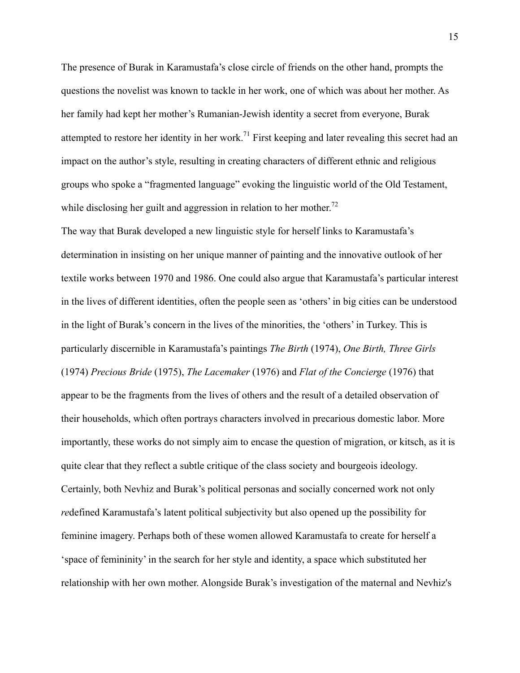The presence of Burak in Karamustafa's close circle of friends on the other hand, prompts the questions the novelist was known to tackle in her work, one of which was about her mother. As her family had kept her mother's Rumanian-Jewish identity a secret from everyone, Burak attempted to restore her identity in her work.<sup>71</sup> First keeping and later revealing this secret had an impact on the author's style, resulting in creating characters of different ethnic and religious groups who spoke a "fragmented language" evoking the linguistic world of the Old Testament, while disclosing her guilt and aggression in relation to her mother.<sup>72</sup>

The way that Burak developed a new linguistic style for herself links to Karamustafa's determination in insisting on her unique manner of painting and the innovative outlook of her textile works between 1970 and 1986. One could also argue that Karamustafa's particular interest in the lives of different identities, often the people seen as 'others' in big cities can be understood in the light of Burak's concern in the lives of the minorities, the 'others' in Turkey. This is particularly discernible in Karamustafa's paintings *The Birth* (1974), *One Birth, Three Girls* (1974) *Precious Bride* (1975), *The Lacemaker* (1976) and *Flat of the Concierge* (1976) that appear to be the fragments from the lives of others and the result of a detailed observation of their households, which often portrays characters involved in precarious domestic labor. More importantly, these works do not simply aim to encase the question of migration, or kitsch, as it is quite clear that they reflect a subtle critique of the class society and bourgeois ideology. Certainly, both Nevhiz and Burak's political personas and socially concerned work not only *re*defined Karamustafa's latent political subjectivity but also opened up the possibility for feminine imagery. Perhaps both of these women allowed Karamustafa to create for herself a 'space of femininity' in the search for her style and identity, a space which substituted her relationship with her own mother. Alongside Burak's investigation of the maternal and Nevhiz's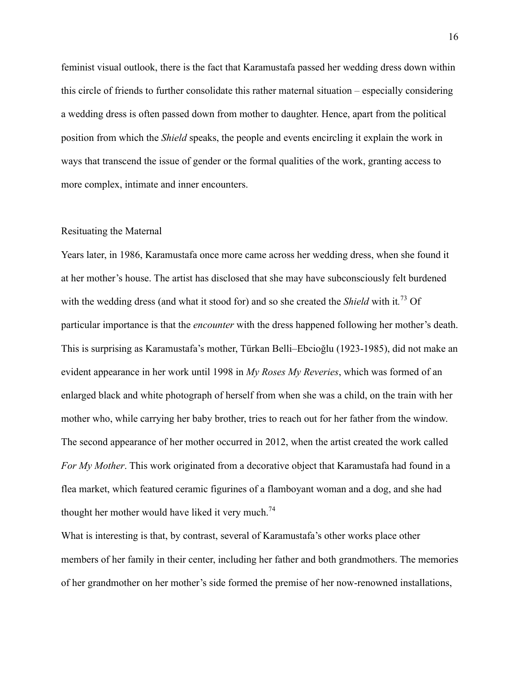feminist visual outlook, there is the fact that Karamustafa passed her wedding dress down within this circle of friends to further consolidate this rather maternal situation – especially considering a wedding dress is often passed down from mother to daughter. Hence, apart from the political position from which the *Shield* speaks, the people and events encircling it explain the work in ways that transcend the issue of gender or the formal qualities of the work, granting access to more complex, intimate and inner encounters.

## Resituating the Maternal

Years later, in 1986, Karamustafa once more came across her wedding dress, when she found it at her mother's house. The artist has disclosed that she may have subconsciously felt burdened with the wedding dress (and what it stood for) and so she created the *Shield* with it*.* <sup>73</sup> Of particular importance is that the *encounter* with the dress happened following her mother's death. This is surprising as Karamustafa's mother, Türkan Belli–Ebcioğlu (1923-1985), did not make an evident appearance in her work until 1998 in *My Roses My Reveries*, which was formed of an enlarged black and white photograph of herself from when she was a child, on the train with her mother who, while carrying her baby brother, tries to reach out for her father from the window. The second appearance of her mother occurred in 2012, when the artist created the work called *For My Mother*. This work originated from a decorative object that Karamustafa had found in a flea market, which featured ceramic figurines of a flamboyant woman and a dog, and she had thought her mother would have liked it very much.<sup>74</sup>

What is interesting is that, by contrast, several of Karamustafa's other works place other members of her family in their center, including her father and both grandmothers. The memories of her grandmother on her mother's side formed the premise of her now-renowned installations,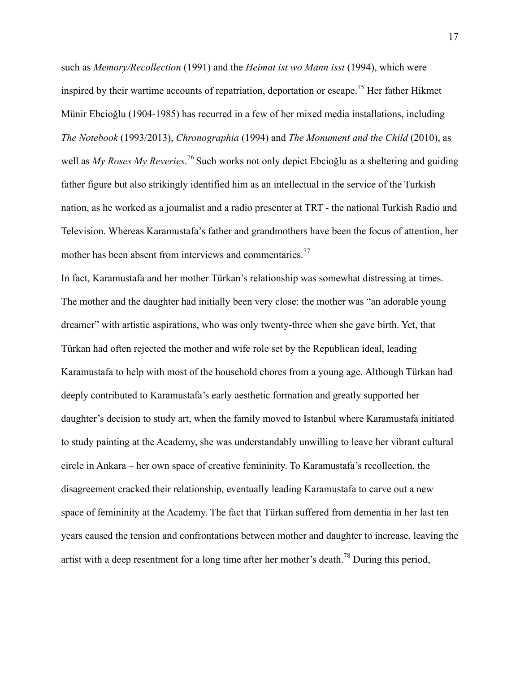such as *Memory/Recollection* (1991) and the *Heimat ist wo Mann isst* (1994), which were inspired by their wartime accounts of repatriation, deportation or escape.<sup>75</sup> Her father Hikmet Münir Ebcioğlu (1904-1985) has recurred in a few of her mixed media installations, including *The Notebook* (1993/2013), *Chronographia* (1994) and *The Monument and the Child* (2010), as well as *My Roses My Reveries*. <sup>76</sup> Such works not only depict Ebcioğlu as a sheltering and guiding father figure but also strikingly identified him as an intellectual in the service of the Turkish nation, as he worked as a journalist and a radio presenter at TRT - the national Turkish Radio and Television. Whereas Karamustafa's father and grandmothers have been the focus of attention, her mother has been absent from interviews and commentaries.<sup>77</sup>

In fact, Karamustafa and her mother Türkan's relationship was somewhat distressing at times. The mother and the daughter had initially been very close: the mother was "an adorable young dreamer" with artistic aspirations, who was only twenty-three when she gave birth. Yet, that Türkan had often rejected the mother and wife role set by the Republican ideal, leading Karamustafa to help with most of the household chores from a young age. Although Türkan had deeply contributed to Karamustafa's early aesthetic formation and greatly supported her daughter's decision to study art, when the family moved to Istanbul where Karamustafa initiated to study painting at the Academy, she was understandably unwilling to leave her vibrant cultural circle in Ankara – her own space of creative femininity. To Karamustafa's recollection, the disagreement cracked their relationship, eventually leading Karamustafa to carve out a new space of femininity at the Academy. The fact that Türkan suffered from dementia in her last ten years caused the tension and confrontations between mother and daughter to increase, leaving the artist with a deep resentment for a long time after her mother's death.<sup>78</sup> During this period,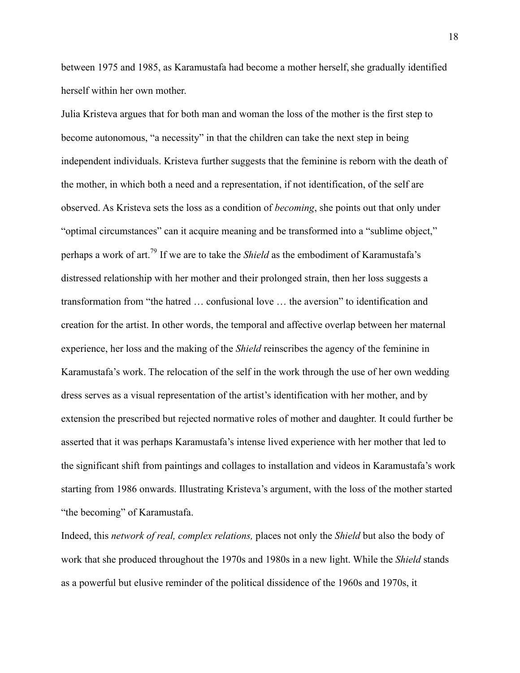between 1975 and 1985, as Karamustafa had become a mother herself, she gradually identified herself within her own mother.

Julia Kristeva argues that for both man and woman the loss of the mother is the first step to become autonomous, "a necessity" in that the children can take the next step in being independent individuals. Kristeva further suggests that the feminine is reborn with the death of the mother, in which both a need and a representation, if not identification, of the self are observed. As Kristeva sets the loss as a condition of *becoming*, she points out that only under "optimal circumstances" can it acquire meaning and be transformed into a "sublime object," perhaps a work of art.79 If we are to take the *Shield* as the embodiment of Karamustafa's distressed relationship with her mother and their prolonged strain, then her loss suggests a transformation from "the hatred … confusional love … the aversion" to identification and creation for the artist. In other words, the temporal and affective overlap between her maternal experience, her loss and the making of the *Shield* reinscribes the agency of the feminine in Karamustafa's work. The relocation of the self in the work through the use of her own wedding dress serves as a visual representation of the artist's identification with her mother, and by extension the prescribed but rejected normative roles of mother and daughter. It could further be asserted that it was perhaps Karamustafa's intense lived experience with her mother that led to the significant shift from paintings and collages to installation and videos in Karamustafa's work starting from 1986 onwards. Illustrating Kristeva's argument, with the loss of the mother started "the becoming" of Karamustafa.

Indeed, this *network of real, complex relations,* places not only the *Shield* but also the body of work that she produced throughout the 1970s and 1980s in a new light. While the *Shield* stands as a powerful but elusive reminder of the political dissidence of the 1960s and 1970s, it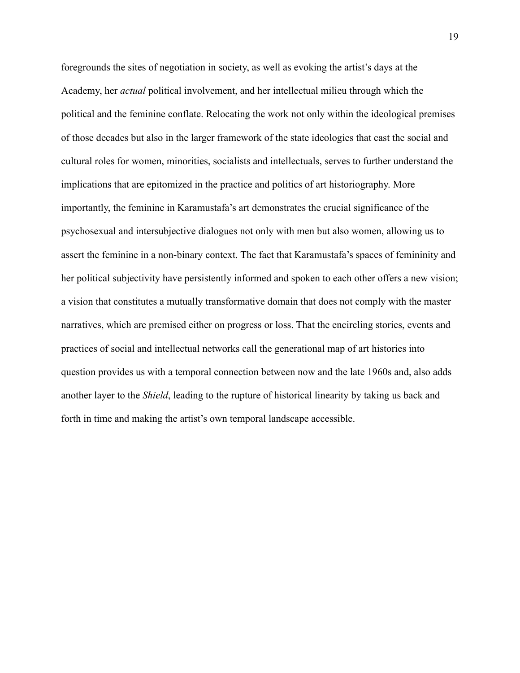foregrounds the sites of negotiation in society, as well as evoking the artist's days at the Academy, her *actual* political involvement, and her intellectual milieu through which the political and the feminine conflate. Relocating the work not only within the ideological premises of those decades but also in the larger framework of the state ideologies that cast the social and cultural roles for women, minorities, socialists and intellectuals, serves to further understand the implications that are epitomized in the practice and politics of art historiography. More importantly, the feminine in Karamustafa's art demonstrates the crucial significance of the psychosexual and intersubjective dialogues not only with men but also women, allowing us to assert the feminine in a non-binary context. The fact that Karamustafa's spaces of femininity and her political subjectivity have persistently informed and spoken to each other offers a new vision; a vision that constitutes a mutually transformative domain that does not comply with the master narratives, which are premised either on progress or loss. That the encircling stories, events and practices of social and intellectual networks call the generational map of art histories into question provides us with a temporal connection between now and the late 1960s and, also adds another layer to the *Shield*, leading to the rupture of historical linearity by taking us back and forth in time and making the artist's own temporal landscape accessible.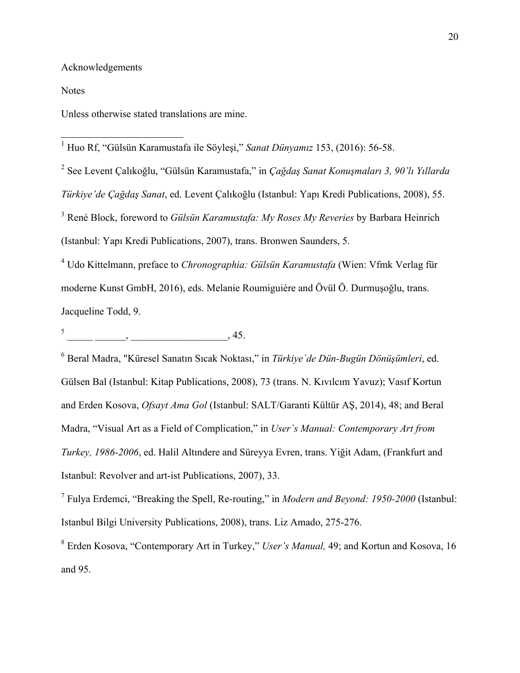Acknowledgements

Notes

Unless otherwise stated translations are mine.

 <sup>1</sup> Huo Rf, "Gülsün Karamustafa ile Söyleşi," *Sanat Dünyamız* 153, (2016): 56-58.

<sup>2</sup> See Levent Çalıkoğlu, "Gülsün Karamustafa," in *Çağdaş Sanat Konuşmaları 3, 90'lı Yıllarda Türkiye'de Çağdaş Sanat*, ed. Levent Çalıkoğlu (Istanbul: Yapı Kredi Publications, 2008), 55. <sup>3</sup> René Block, foreword to *Gülsün Karamustafa: My Roses My Reveries* by Barbara Heinrich (Istanbul: Yapı Kredi Publications, 2007), trans. Bronwen Saunders, 5.

<sup>4</sup> Udo Kittelmann, preface to *Chronographia: Gülsün Karamustafa* (Wien: Vfmk Verlag für moderne Kunst GmbH, 2016), eds. Melanie Roumiguière and Övül Ö. Durmuşoğlu, trans. Jacqueline Todd, 9.

 $\frac{1}{\sqrt{1-\frac{1}{2}}}\frac{1}{\sqrt{1-\frac{1}{2}}}\frac{1}{\sqrt{1-\frac{1}{2}}}\frac{1}{\sqrt{1-\frac{1}{2}}}\frac{1}{\sqrt{1-\frac{1}{2}}}\frac{1}{\sqrt{1-\frac{1}{2}}}\frac{1}{\sqrt{1-\frac{1}{2}}}\frac{1}{\sqrt{1-\frac{1}{2}}}\frac{1}{\sqrt{1-\frac{1}{2}}}\frac{1}{\sqrt{1-\frac{1}{2}}}\frac{1}{\sqrt{1-\frac{1}{2}}}\frac{1}{\sqrt{1-\frac{1}{2}}}\frac{1}{\sqrt{1-\frac{1}{2}}}\frac{1}{\sqrt{1-\frac{$ 

<sup>6</sup> Beral Madra, "Küresel Sanatın Sıcak Noktası," in *Türkiye`de Dün-Bugün Dönüşümleri*, ed. Gülsen Bal (Istanbul: Kitap Publications, 2008), 73 (trans. N. Kıvılcım Yavuz); Vasıf Kortun and Erden Kosova, *Ofsayt Ama Gol* (Istanbul: SALT/Garanti Kültür AŞ, 2014), 48; and Beral Madra, "Visual Art as a Field of Complication," in *User`s Manual: Contemporary Art from Turkey, 1986-2006*, ed. Halil Altındere and Süreyya Evren, trans. Yiğit Adam, (Frankfurt and Istanbul: Revolver and art-ist Publications, 2007), 33.

<sup>7</sup> Fulya Erdemci, "Breaking the Spell, Re-routing," in *Modern and Beyond: 1950-2000* (Istanbul: Istanbul Bilgi University Publications, 2008), trans. Liz Amado, 275-276.

<sup>8</sup> Erden Kosova, "Contemporary Art in Turkey," *User's Manual,* 49; and Kortun and Kosova, 16 and 95.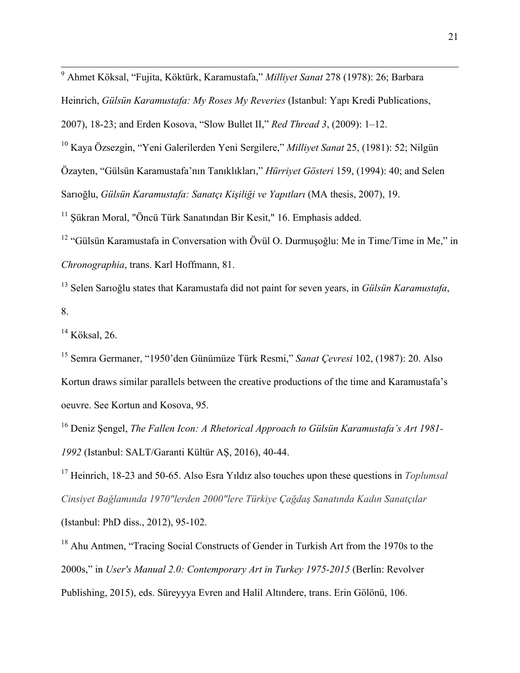<sup>9</sup> Ahmet Köksal, "Fujita, Köktürk, Karamustafa," *Milliyet Sanat* 278 (1978): 26; Barbara

Heinrich, *Gülsün Karamustafa: My Roses My Reveries* (Istanbul: Yapı Kredi Publications,

2007), 18-23; and Erden Kosova, "Slow Bullet II," *Red Thread 3*, (2009): 1–12.

<sup>10</sup> Kaya Özsezgin, "Yeni Galerilerden Yeni Sergilere," *Milliyet Sanat* 25, (1981): 52; Nilgün Özayten, "Gülsün Karamustafa'nın Tanıklıkları," *Hürriyet Gösteri* 159, (1994): 40; and Selen Sarıoğlu, *Gülsün Karamustafa: Sanatçı Kişiliği ve Yapıtları* (MA thesis, 2007), 19.

<sup>11</sup> Şükran Moral, "Öncü Türk Sanatından Bir Kesit," 16. Emphasis added.

<sup>12</sup> "Gülsün Karamustafa in Conversation with Övül O. Durmusoğlu: Me in Time/Time in Me," in *Chronographia*, trans. Karl Hoffmann, 81.

<sup>13</sup> Selen Sarıoğlu states that Karamustafa did not paint for seven years, in *Gülsün Karamustafa*, 8.

 $14$  Köksal, 26.

<sup>15</sup> Semra Germaner, "1950'den Günümüze Türk Resmi," *Sanat Çevresi* 102, (1987): 20. Also Kortun draws similar parallels between the creative productions of the time and Karamustafa's oeuvre. See Kortun and Kosova, 95.

<sup>16</sup> Deniz Şengel, *The Fallen Icon: A Rhetorical Approach to Gülsün Karamustafa's Art 1981- 1992* (Istanbul: SALT/Garanti Kültür AŞ, 2016), 40-44.

<sup>17</sup> Heinrich, 18-23 and 50-65. Also Esra Yıldız also touches upon these questions in *Toplumsal Cinsiyet Bağlamında 1970"lerden 2000"lere Türkiye Çağdaş Sanatında Kadın Sanatçılar* (Istanbul: PhD diss., 2012), 95-102.

<sup>18</sup> Ahu Antmen, "Tracing Social Constructs of Gender in Turkish Art from the 1970s to the 2000s," in *User's Manual 2.0: Contemporary Art in Turkey 1975-2015* (Berlin: Revolver Publishing, 2015), eds. Süreyyya Evren and Halil Altındere, trans. Erin Gölönü, 106.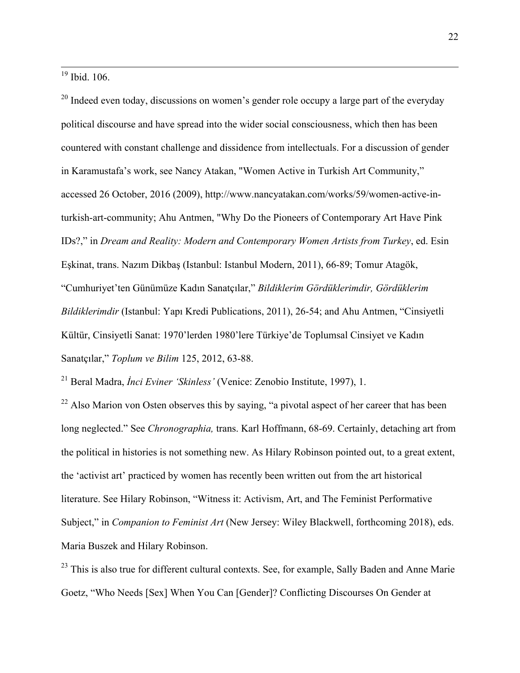$19$  Ibid. 106.

 $20$  Indeed even today, discussions on women's gender role occupy a large part of the everyday political discourse and have spread into the wider social consciousness, which then has been countered with constant challenge and dissidence from intellectuals. For a discussion of gender in Karamustafa's work, see Nancy Atakan, "Women Active in Turkish Art Community," accessed 26 October, 2016 (2009), http://www.nancyatakan.com/works/59/women-active-inturkish-art-community; Ahu Antmen, "Why Do the Pioneers of Contemporary Art Have Pink IDs?," in *Dream and Reality: Modern and Contemporary Women Artists from Turkey*, ed. Esin Eşkinat, trans. Nazım Dikbaş (Istanbul: Istanbul Modern, 2011), 66-89; Tomur Atagök, "Cumhuriyet'ten Günümüze Kadın Sanatçılar," *Bildiklerim Gördüklerimdir, Gördüklerim Bildiklerimdir* (Istanbul: Yapı Kredi Publications, 2011), 26-54; and Ahu Antmen, "Cinsiyetli Kültür, Cinsiyetli Sanat: 1970'lerden 1980'lere Türkiye'de Toplumsal Cinsiyet ve Kadın Sanatçılar," *Toplum ve Bilim* 125, 2012, 63-88.

<sup>21</sup> Beral Madra, *İnci Eviner 'Skinless'* (Venice: Zenobio Institute, 1997), 1.

 $22$  Also Marion von Osten observes this by saying, "a pivotal aspect of her career that has been long neglected." See *Chronographia,* trans. Karl Hoffmann, 68-69. Certainly, detaching art from the political in histories is not something new. As Hilary Robinson pointed out, to a great extent, the 'activist art' practiced by women has recently been written out from the art historical literature. See Hilary Robinson, "Witness it: Activism, Art, and The Feminist Performative Subject," in *Companion to Feminist Art* (New Jersey: Wiley Blackwell, forthcoming 2018), eds. Maria Buszek and Hilary Robinson.

<sup>23</sup> This is also true for different cultural contexts. See, for example, Sally Baden and Anne Marie Goetz, "Who Needs [Sex] When You Can [Gender]? Conflicting Discourses On Gender at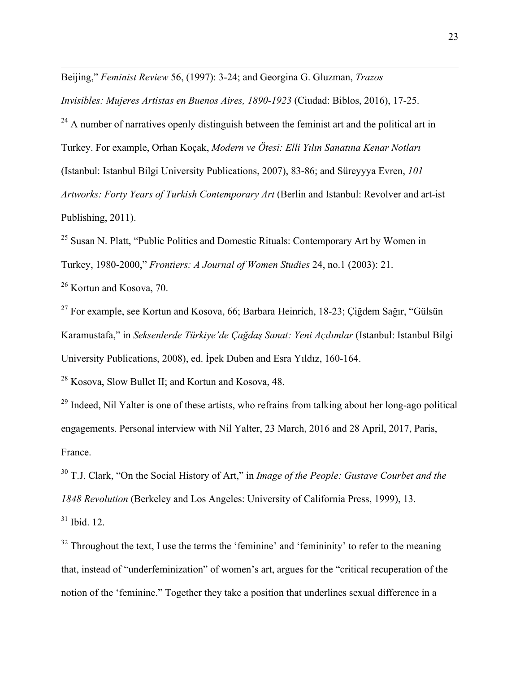Beijing," *Feminist Review* 56, (1997): 3-24; and Georgina G. Gluzman, *Trazos* 

*Invisibles: Mujeres Artistas en Buenos Aires, 1890-1923* (Ciudad: Biblos, 2016), 17-25.

<u> 1989 - Andrea Andrew Maria (h. 1989).</u>

 $24$  A number of narratives openly distinguish between the feminist art and the political art in Turkey. For example, Orhan Koçak, *Modern ve Ötesi: Elli Yılın Sanatına Kenar Notları*  (Istanbul: Istanbul Bilgi University Publications, 2007), 83-86; and Süreyyya Evren, *101 Artworks: Forty Years of Turkish Contemporary Art* (Berlin and Istanbul: Revolver and art-ist Publishing, 2011).

<sup>25</sup> Susan N. Platt, "Public Politics and Domestic Rituals: Contemporary Art by Women in Turkey, 1980-2000," *Frontiers: A Journal of Women Studies* 24, no.1 (2003): 21.

<sup>26</sup> Kortun and Kosova, 70.

<sup>27</sup> For example, see Kortun and Kosova, 66; Barbara Heinrich, 18-23; Çiğdem Sağır, "Gülsün Karamustafa," in *Seksenlerde Türkiye'de Çağdaş Sanat: Yeni Açılımlar* (Istanbul: Istanbul Bilgi University Publications, 2008), ed. İpek Duben and Esra Yıldız, 160-164.

<sup>28</sup> Kosova, Slow Bullet II; and Kortun and Kosova, 48.

 $^{29}$  Indeed, Nil Yalter is one of these artists, who refrains from talking about her long-ago political engagements. Personal interview with Nil Yalter, 23 March, 2016 and 28 April, 2017, Paris, France.

<sup>30</sup> T.J. Clark, "On the Social History of Art," in *Image of the People: Gustave Courbet and the 1848 Revolution* (Berkeley and Los Angeles: University of California Press, 1999), 13.  $31$  Ibid. 12.

 $32$  Throughout the text, I use the terms the 'feminine' and 'femininity' to refer to the meaning that, instead of "underfeminization" of women's art, argues for the "critical recuperation of the notion of the 'feminine." Together they take a position that underlines sexual difference in a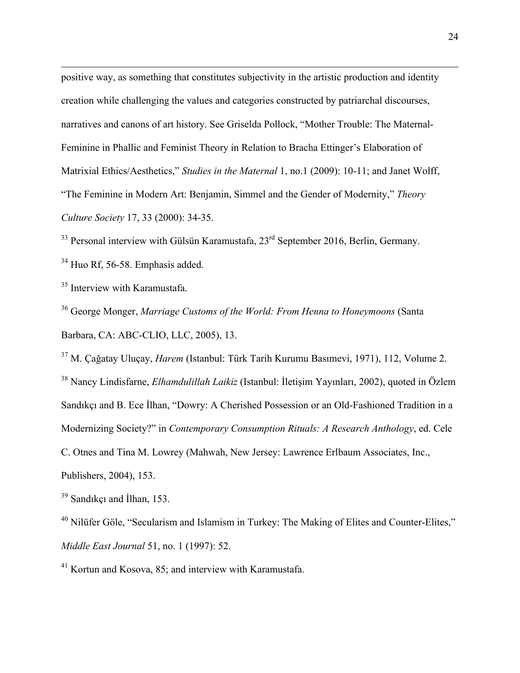positive way, as something that constitutes subjectivity in the artistic production and identity creation while challenging the values and categories constructed by patriarchal discourses, narratives and canons of art history. See Griselda Pollock, "Mother Trouble: The Maternal-Feminine in Phallic and Feminist Theory in Relation to Bracha Ettinger's Elaboration of Matrixial Ethics/Aesthetics," *Studies in the Maternal* 1, no.1 (2009): 10-11; and Janet Wolff, "The Feminine in Modern Art: Benjamin, Simmel and the Gender of Modernity," *Theory Culture Society* 17, 33 (2000): 34-35.

<u> 1989 - Andrea Andrew Maria (h. 1989).</u>

<sup>33</sup> Personal interview with Gülsün Karamustafa, 23<sup>rd</sup> September 2016, Berlin, Germany.

<sup>34</sup> Huo Rf, 56-58. Emphasis added.

<sup>35</sup> Interview with Karamustafa.

<sup>36</sup> George Monger, *Marriage Customs of the World: From Henna to Honeymoons* (Santa Barbara, CA: ABC-CLIO, LLC, 2005), 13.

<sup>37</sup> M. Çağatay Uluçay, *Harem* (Istanbul: Türk Tarih Kurumu Basımevi, 1971), 112, Volume 2. <sup>38</sup> Nancy Lindisfarne, *Elhamdulillah Laikiz* (Istanbul: İletişim Yayınları, 2002), quoted in Özlem Sandıkçı and B. Ece İlhan, "Dowry: A Cherished Possession or an Old-Fashioned Tradition in a Modernizing Society?" in *Contemporary Consumption Rituals: A Research Anthology*, ed. Cele C. Otnes and Tina M. Lowrey (Mahwah, New Jersey: Lawrence Erlbaum Associates, Inc., Publishers, 2004), 153.

<sup>39</sup> Sandıkçı and İlhan, 153.

<sup>40</sup> Nilüfer Göle, "Secularism and Islamism in Turkey: The Making of Elites and Counter-Elites," *Middle East Journal* 51, no. 1 (1997): 52.

<sup>41</sup> Kortun and Kosova, 85; and interview with Karamustafa.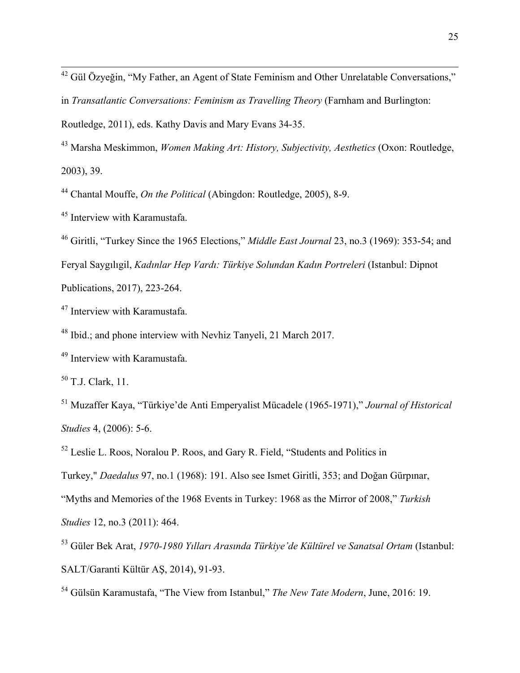<sup>42</sup> Gül Özyeğin, "My Father, an Agent of State Feminism and Other Unrelatable Conversations,"

in *Transatlantic Conversations: Feminism as Travelling Theory* (Farnham and Burlington:

Routledge, 2011), eds. Kathy Davis and Mary Evans 34-35.

<sup>43</sup> Marsha Meskimmon, *Women Making Art: History, Subjectivity, Aesthetics* (Oxon: Routledge, 2003), 39.

<sup>44</sup> Chantal Mouffe, *On the Political* (Abingdon: Routledge, 2005), 8-9.

<sup>45</sup> Interview with Karamustafa.

<sup>46</sup> Giritli, "Turkey Since the 1965 Elections," *Middle East Journal* 23, no.3 (1969): 353-54; and Feryal Saygılıgil, *Kadınlar Hep Vardı: Türkiye Solundan Kadın Portreleri* (Istanbul: Dipnot Publications, 2017), 223-264.

<sup>47</sup> Interview with Karamustafa.

<sup>48</sup> Ibid.; and phone interview with Nevhiz Tanyeli, 21 March 2017.

<sup>49</sup> Interview with Karamustafa.

 $50$  T.J. Clark, 11.

<sup>51</sup> Muzaffer Kaya, "Türkiye'de Anti Emperyalist Mücadele (1965-1971)," *Journal of Historical Studies* 4, (2006): 5-6.

<sup>52</sup> Leslie L. Roos, Noralou P. Roos, and Gary R. Field, "Students and Politics in

Turkey," *Daedalus* 97, no.1 (1968): 191. Also see Ismet Giritli, 353; and Doğan Gürpınar,

"Myths and Memories of the 1968 Events in Turkey: 1968 as the Mirror of 2008," *Turkish* 

*Studies* 12, no.3 (2011): 464.

<sup>53</sup> Güler Bek Arat, *1970-1980 Yılları Arasında Türkiye'de Kültürel ve Sanatsal Ortam* (Istanbul: SALT/Garanti Kültür AŞ, 2014), 91-93.

<sup>54</sup> Gülsün Karamustafa, "The View from Istanbul," *The New Tate Modern*, June, 2016: 19.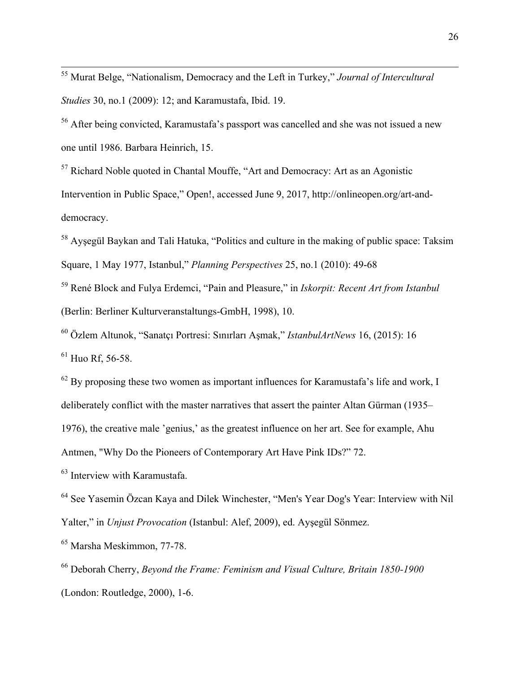<sup>55</sup> Murat Belge, "Nationalism, Democracy and the Left in Turkey," *Journal of Intercultural Studies* 30, no.1 (2009): 12; and Karamustafa, Ibid. 19.

<sup>56</sup> After being convicted, Karamustafa's passport was cancelled and she was not issued a new one until 1986. Barbara Heinrich, 15.

 $57$  Richard Noble quoted in Chantal Mouffe, "Art and Democracy: Art as an Agonistic Intervention in Public Space," Open!, accessed June 9, 2017, http://onlineopen.org/art-anddemocracy.

<sup>58</sup> Ayşegül Baykan and Tali Hatuka, "Politics and culture in the making of public space: Taksim Square, 1 May 1977, Istanbul," *Planning Perspectives* 25, no.1 (2010): 49-68

<sup>59</sup> René Block and Fulya Erdemci, "Pain and Pleasure," in *Iskorpit: Recent Art from Istanbul* (Berlin: Berliner Kulturveranstaltungs-GmbH, 1998), 10.

<sup>60</sup> Özlem Altunok, "Sanatçı Portresi: Sınırları Aşmak," *IstanbulArtNews* 16, (2015): 16  $61$  Huo Rf, 56-58.

 $62$  By proposing these two women as important influences for Karamustafa's life and work, I deliberately conflict with the master narratives that assert the painter Altan Gürman (1935– 1976), the creative male 'genius,' as the greatest influence on her art. See for example, Ahu

Antmen, "Why Do the Pioneers of Contemporary Art Have Pink IDs?" 72.

<sup>63</sup> Interview with Karamustafa.

<sup>64</sup> See Yasemin Özcan Kaya and Dilek Winchester, "Men's Year Dog's Year: Interview with Nil Yalter," in *Unjust Provocation* (Istanbul: Alef, 2009), ed. Ayşegül Sönmez.

<sup>65</sup> Marsha Meskimmon, 77-78.

<sup>66</sup> Deborah Cherry, *Beyond the Frame: Feminism and Visual Culture, Britain 1850-1900* (London: Routledge, 2000), 1-6.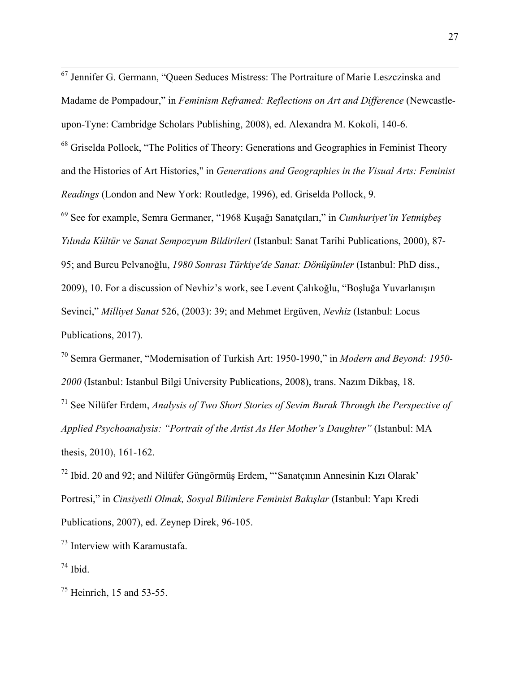<sup>67</sup> Jennifer G. Germann, "Queen Seduces Mistress: The Portraiture of Marie Leszczinska and Madame de Pompadour," in *Feminism Reframed: Reflections on Art and Difference* (Newcastleupon-Tyne: Cambridge Scholars Publishing, 2008), ed. Alexandra M. Kokoli, 140-6.

 $68$  Griselda Pollock, "The Politics of Theory: Generations and Geographies in Feminist Theory and the Histories of Art Histories," in *Generations and Geographies in the Visual Arts: Feminist Readings* (London and New York: Routledge, 1996), ed. Griselda Pollock, 9.

<sup>69</sup> See for example, Semra Germaner, "1968 Kuşağı Sanatçıları," in *Cumhuriyet'in Yetmişbeş Yılında Kültür ve Sanat Sempozyum Bildirileri* (Istanbul: Sanat Tarihi Publications, 2000), 87- 95; and Burcu Pelvanoğlu, *1980 Sonrası Türkiye'de Sanat: Dönüşümler* (Istanbul: PhD diss., 2009), 10. For a discussion of Nevhiz's work, see Levent Çalıkoğlu, "Boşluğa Yuvarlanışın Sevinci," *Milliyet Sanat* 526, (2003): 39; and Mehmet Ergüven, *Nevhiz* (Istanbul: Locus Publications, 2017).

<sup>70</sup> Semra Germaner, "Modernisation of Turkish Art: 1950-1990," in *Modern and Beyond: 1950- 2000* (Istanbul: Istanbul Bilgi University Publications, 2008), trans. Nazım Dikbaş, 18.

<sup>71</sup> See Nilüfer Erdem, *Analysis of Two Short Stories of Sevim Burak Through the Perspective of Applied Psychoanalysis: "Portrait of the Artist As Her Mother's Daughter"* (Istanbul: MA thesis, 2010), 161-162.

<sup>72</sup> Ibid. 20 and 92; and Nilüfer Güngörmüş Erdem, "'Sanatçının Annesinin Kızı Olarak' Portresi," in *Cinsiyetli Olmak, Sosyal Bilimlere Feminist Bakışlar* (Istanbul: Yapı Kredi Publications, 2007), ed. Zeynep Direk, 96-105.

<sup>73</sup> Interview with Karamustafa.

 $74$  Ibid.

 $75$  Heinrich, 15 and 53-55.